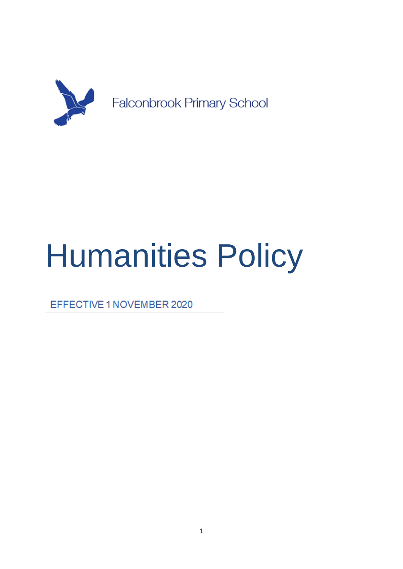

# Humanities Policy

EFFECTIVE 1 NOVEMBER 2020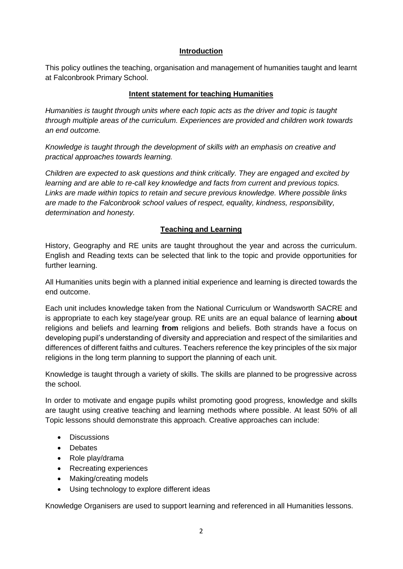#### **Introduction**

This policy outlines the teaching, organisation and management of humanities taught and learnt at Falconbrook Primary School.

## **Intent statement for teaching Humanities**

*Humanities is taught through units where each topic acts as the driver and topic is taught through multiple areas of the curriculum. Experiences are provided and children work towards an end outcome.* 

*Knowledge is taught through the development of skills with an emphasis on creative and practical approaches towards learning.* 

*Children are expected to ask questions and think critically. They are engaged and excited by learning and are able to re-call key knowledge and facts from current and previous topics. Links are made within topics to retain and secure previous knowledge. Where possible links are made to the Falconbrook school values of respect, equality, kindness, responsibility, determination and honesty.*

# **Teaching and Learning**

History, Geography and RE units are taught throughout the year and across the curriculum. English and Reading texts can be selected that link to the topic and provide opportunities for further learning.

All Humanities units begin with a planned initial experience and learning is directed towards the end outcome.

Each unit includes knowledge taken from the National Curriculum or Wandsworth SACRE and is appropriate to each key stage/year group. RE units are an equal balance of learning **about** religions and beliefs and learning **from** religions and beliefs. Both strands have a focus on developing pupil's understanding of diversity and appreciation and respect of the similarities and differences of different faiths and cultures. Teachers reference the key principles of the six major religions in the long term planning to support the planning of each unit.

Knowledge is taught through a variety of skills. The skills are planned to be progressive across the school.

In order to motivate and engage pupils whilst promoting good progress, knowledge and skills are taught using creative teaching and learning methods where possible. At least 50% of all Topic lessons should demonstrate this approach. Creative approaches can include:

- Discussions
- Debates
- Role play/drama
- Recreating experiences
- Making/creating models
- Using technology to explore different ideas

Knowledge Organisers are used to support learning and referenced in all Humanities lessons.